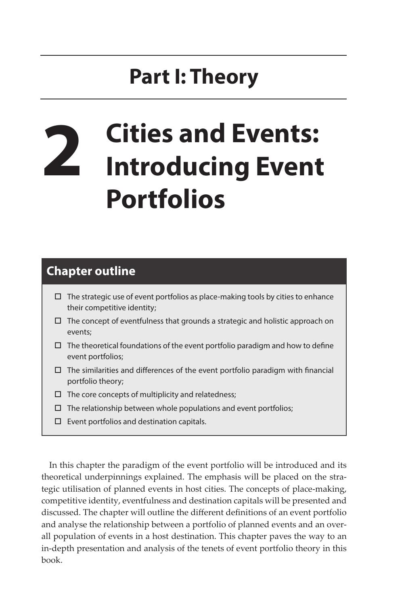## **Part I: Theory**

# **2 Cities and Events: Introducing Event Portfolios**

### **Chapter outline**

- $\Box$  The strategic use of event portfolios as place-making tools by cities to enhance their competitive identity;
- $\Box$  The concept of eventfulness that grounds a strategic and holistic approach on events;
- $\Box$  The theoretical foundations of the event portfolio paradigm and how to define event portfolios;
- $\Box$  The similarities and differences of the event portfolio paradigm with financial portfolio theory;
- $\Box$  The core concepts of multiplicity and relatedness;
- $\Box$  The relationship between whole populations and event portfolios;
- $\square$  Event portfolios and destination capitals.

In this chapter the paradigm of the event portfolio will be introduced and its theoretical underpinnings explained. The emphasis will be placed on the strategic utilisation of planned events in host cities. The concepts of place-making, competitive identity, eventfulness and destination capitals will be presented and discussed. The chapter will outline the different definitions of an event portfolio and analyse the relationship between a portfolio of planned events and an overall population of events in a host destination. This chapter paves the way to an in-depth presentation and analysis of the tenets of event portfolio theory in this book.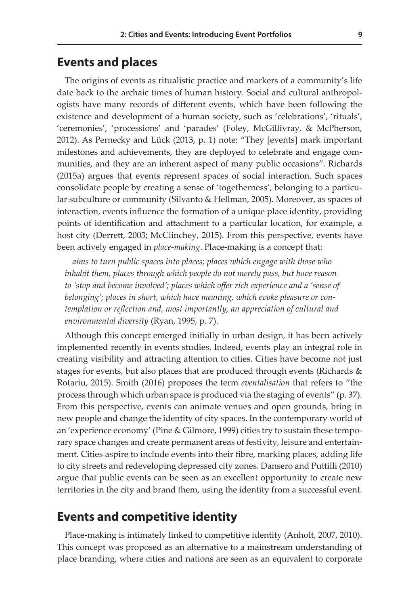#### **Events and places**

The origins of events as ritualistic practice and markers of a community's life date back to the archaic times of human history. Social and cultural anthropologists have many records of different events, which have been following the existence and development of a human society, such as 'celebrations', 'rituals', 'ceremonies', 'processions' and 'parades' (Foley, McGillivray, & McPherson, 2012). As Pernecky and Lück (2013, p. 1) note: "They [events] mark important milestones and achievements, they are deployed to celebrate and engage communities, and they are an inherent aspect of many public occasions". Richards (2015a) argues that events represent spaces of social interaction. Such spaces consolidate people by creating a sense of 'togetherness', belonging to a particular subculture or community (Silvanto & Hellman, 2005). Moreover, as spaces of interaction, events influence the formation of a unique place identity, providing points of identification and attachment to a particular location, for example, a host city (Derrett, 2003; McClinchey, 2015). From this perspective, events have been actively engaged in *place-making*. Place-making is a concept that:

*aims to turn public spaces into places; places which engage with those who inhabit them, places through which people do not merely pass, but have reason to 'stop and become involved'; places which offer rich experience and a 'sense of belonging'; places in short, which have meaning, which evoke pleasure or contemplation or reflection and, most importantly, an appreciation of cultural and environmental diversity* (Ryan, 1995, p. 7).

Although this concept emerged initially in urban design, it has been actively implemented recently in events studies. Indeed, events play an integral role in creating visibility and attracting attention to cities. Cities have become not just stages for events, but also places that are produced through events (Richards & Rotariu, 2015). Smith (2016) proposes the term *eventalisation* that refers to "the process through which urban space is produced via the staging of events" (p. 37). From this perspective, events can animate venues and open grounds, bring in new people and change the identity of city spaces. In the contemporary world of an 'experience economy' (Pine & Gilmore, 1999) cities try to sustain these temporary space changes and create permanent areas of festivity, leisure and entertainment. Cities aspire to include events into their fibre, marking places, adding life to city streets and redeveloping depressed city zones. Dansero and Puttilli (2010) argue that public events can be seen as an excellent opportunity to create new territories in the city and brand them, using the identity from a successful event.

#### **Events and competitive identity**

Place-making is intimately linked to competitive identity (Anholt, 2007, 2010). This concept was proposed as an alternative to a mainstream understanding of place branding, where cities and nations are seen as an equivalent to corporate